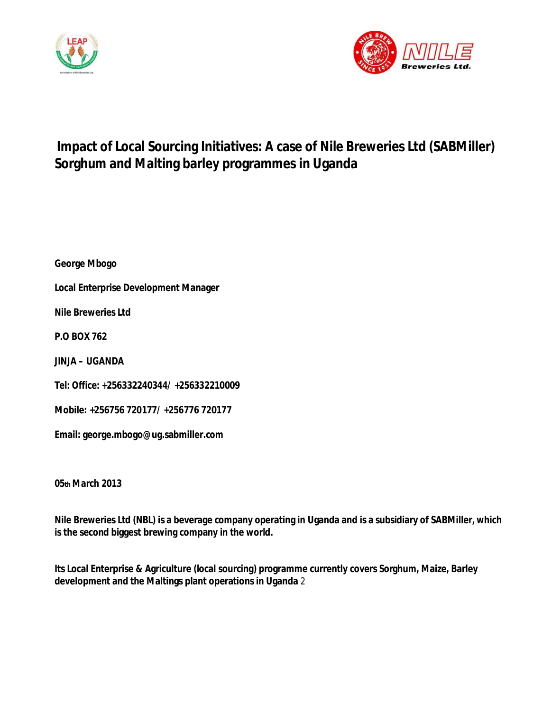



# **Impact of Local Sourcing Initiatives: A case of Nile Breweries Ltd (SABMiller) Sorghum and Malting barley programmes in Uganda**

**George Mbogo** 

**Local Enterprise Development Manager** 

**Nile Breweries Ltd** 

**P.O BOX 762** 

**JINJA – UGANDA** 

**Tel: Office: +256332240344/ +256332210009** 

**Mobile: +256756 720177/ +256776 720177** 

**Email: george.mbogo@ug.sabmiller.com** 

**05th March 2013** 

**Nile Breweries Ltd (NBL) is a beverage company operating in Uganda and is a subsidiary of SABMiller, which is the second biggest brewing company in the world.** 

**Its Local Enterprise & Agriculture (local sourcing) programme currently covers Sorghum, Maize, Barley development and the Maltings plant operations in Uganda** 2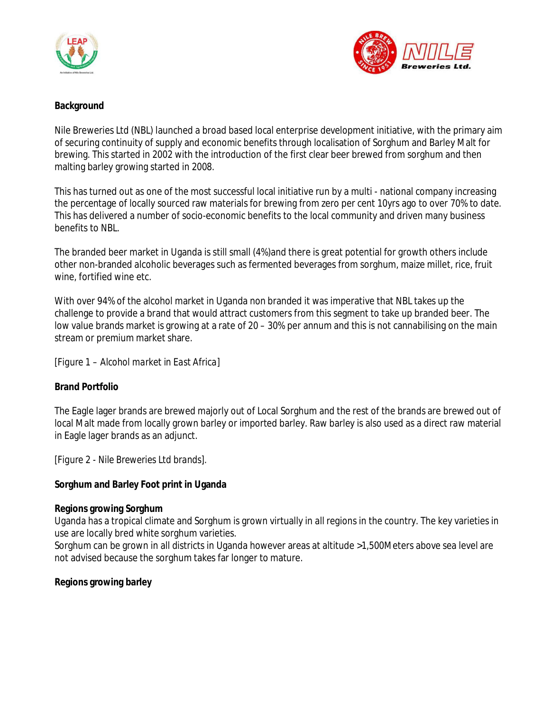



## **Background**

Nile Breweries Ltd (NBL) launched a broad based local enterprise development initiative, with the primary aim of securing continuity of supply and economic benefits through localisation of Sorghum and Barley Malt for brewing. This started in 2002 with the introduction of the first clear beer brewed from sorghum and then malting barley growing started in 2008.

This has turned out as one of the most successful local initiative run by a multi - national company increasing the percentage of locally sourced raw materials for brewing from zero per cent 10yrs ago to over 70% to date. This has delivered a number of socio-economic benefits to the local community and driven many business benefits to NBL.

The branded beer market in Uganda is still small (4%)and there is great potential for growth others include other non-branded alcoholic beverages such as fermented beverages from sorghum, maize millet, rice, fruit wine, fortified wine etc.

With over 94% of the alcohol market in Uganda non branded it was imperative that NBL takes up the challenge to provide a brand that would attract customers from this segment to take up branded beer. The low value brands market is growing at a rate of 20 – 30% per annum and this is not cannabilising on the main stream or premium market share.

*[Figure 1 – Alcohol market in East Africa]* 

**Brand Portfolio** 

The Eagle lager brands are brewed majorly out of Local Sorghum and the rest of the brands are brewed out of local Malt made from locally grown barley or imported barley. Raw barley is also used as a direct raw material in Eagle lager brands as an adjunct.

*[Figure 2 - Nile Breweries Ltd brands].* 

**Sorghum and Barley Foot print in Uganda** 

**Regions growing Sorghum** 

Uganda has a tropical climate and Sorghum is grown virtually in all regions in the country. The key varieties in use are locally bred white sorghum varieties.

Sorghum can be grown in all districts in Uganda however areas at altitude >1,500Meters above sea level are not advised because the sorghum takes far longer to mature.

**Regions growing barley**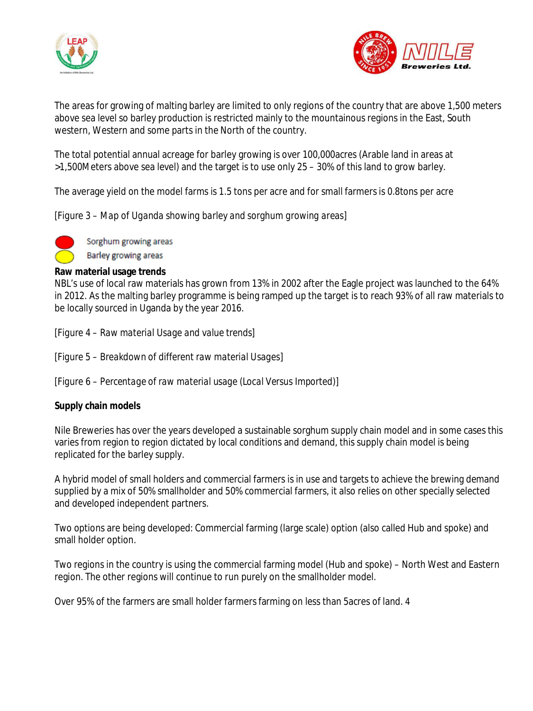



The areas for growing of malting barley are limited to only regions of the country that are above 1,500 meters above sea level so barley production is restricted mainly to the mountainous regions in the East, South western, Western and some parts in the North of the country.

The total potential annual acreage for barley growing is over 100,000acres (Arable land in areas at >1,500Meters above sea level) and the target is to use only 25 – 30% of this land to grow barley.

The average yield on the model farms is 1.5 tons per acre and for small farmers is 0.8tons per acre

*[Figure 3 – Map of Uganda showing barley and sorghum growing areas]* 

Sorghum growing areas **Barley growing areas** 

**Raw material usage trends** 

NBL's use of local raw materials has grown from 13% in 2002 after the Eagle project was launched to the 64% in 2012. As the malting barley programme is being ramped up the target is to reach 93% of all raw materials to be locally sourced in Uganda by the year 2016.

*[Figure 4 – Raw material Usage and value trends]* 

*[Figure 5 – Breakdown of different raw material Usages]* 

*[Figure 6 – Percentage of raw material usage (Local Versus Imported)]* 

**Supply chain models** 

Nile Breweries has over the years developed a sustainable sorghum supply chain model and in some cases this varies from region to region dictated by local conditions and demand, this supply chain model is being replicated for the barley supply.

A hybrid model of small holders and commercial farmers is in use and targets to achieve the brewing demand supplied by a mix of 50% smallholder and 50% commercial farmers, it also relies on other specially selected and developed independent partners.

Two options are being developed: Commercial farming (large scale) option (also called Hub and spoke) and small holder option.

Two regions in the country is using the commercial farming model (Hub and spoke) – North West and Eastern region. The other regions will continue to run purely on the smallholder model.

Over 95% of the farmers are small holder farmers farming on less than 5acres of land. 4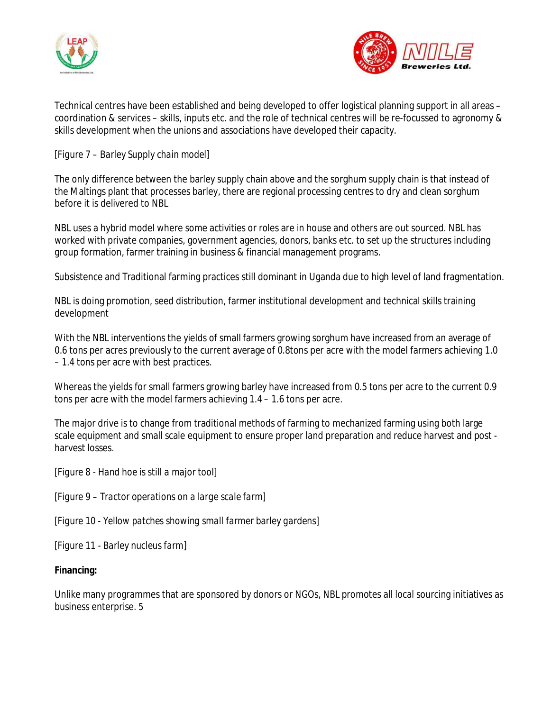



Technical centres have been established and being developed to offer logistical planning support in all areas – coordination & services – skills, inputs etc. and the role of technical centres will be re-focussed to agronomy & skills development when the unions and associations have developed their capacity.

## *[Figure 7 – Barley Supply chain model]*

The only difference between the barley supply chain above and the sorghum supply chain is that instead of the Maltings plant that processes barley, there are regional processing centres to dry and clean sorghum before it is delivered to NBL

NBL uses a hybrid model where some activities or roles are in house and others are out sourced. NBL has worked with private companies, government agencies, donors, banks etc. to set up the structures including group formation, farmer training in business & financial management programs.

Subsistence and Traditional farming practices still dominant in Uganda due to high level of land fragmentation.

NBL is doing promotion, seed distribution, farmer institutional development and technical skills training development

With the NBL interventions the yields of small farmers growing sorghum have increased from an average of 0.6 tons per acres previously to the current average of 0.8tons per acre with the model farmers achieving 1.0 – 1.4 tons per acre with best practices.

Whereas the yields for small farmers growing barley have increased from 0.5 tons per acre to the current 0.9 tons per acre with the model farmers achieving 1.4 – 1.6 tons per acre.

The major drive is to change from traditional methods of farming to mechanized farming using both large scale equipment and small scale equipment to ensure proper land preparation and reduce harvest and post harvest losses.

*[Figure 8 - Hand hoe is still a major tool]* 

*[Figure 9 – Tractor operations on a large scale farm]* 

*[Figure 10 - Yellow patches showing small farmer barley gardens]* 

*[Figure 11 - Barley nucleus farm]* 

**Financing:** 

Unlike many programmes that are sponsored by donors or NGOs, NBL promotes all local sourcing initiatives as business enterprise. 5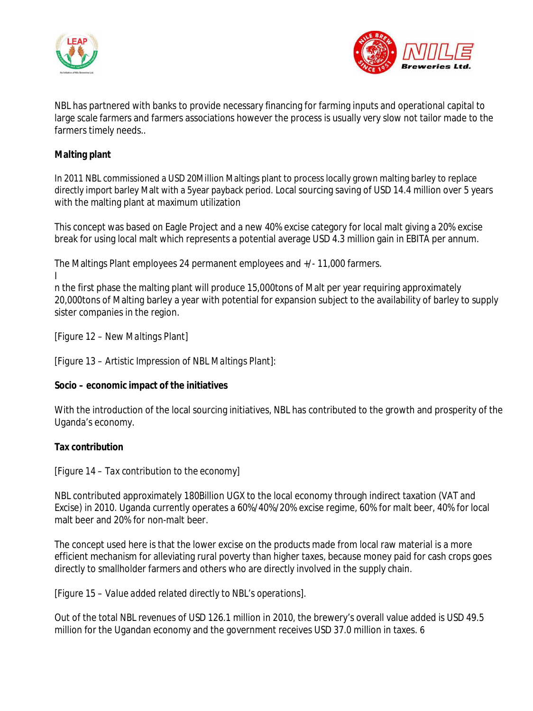



NBL has partnered with banks to provide necessary financing for farming inputs and operational capital to large scale farmers and farmers associations however the process is usually very slow not tailor made to the farmers timely needs..

### **Malting plant**

In 2011 NBL commissioned a USD 20Million Maltings plant to process locally grown malting barley to replace directly import barley Malt with a 5year payback period. Local sourcing saving of USD 14.4 million over 5 years with the malting plant at maximum utilization

This concept was based on Eagle Project and a new 40% excise category for local malt giving a 20% excise break for using local malt which represents a potential average USD 4.3 million gain in EBITA per annum.

The Maltings Plant employees 24 permanent employees and +/- 11,000 farmers. I

n the first phase the malting plant will produce 15,000tons of Malt per year requiring approximately 20,000tons of Malting barley a year with potential for expansion subject to the availability of barley to supply sister companies in the region.

*[Figure 12 – New Maltings Plant]* 

*[Figure 13 – Artistic Impression of NBL Maltings Plant]:* 

**Socio – economic impact of the initiatives** 

With the introduction of the local sourcing initiatives, NBL has contributed to the growth and prosperity of the Uganda's economy.

**Tax contribution** 

*[Figure 14 – Tax contribution to the economy]* 

NBL contributed approximately 180Billion UGX to the local economy through indirect taxation (VAT and Excise) in 2010. Uganda currently operates a 60%/40%/20% excise regime, 60% for malt beer, 40% for local malt beer and 20% for non-malt beer.

The concept used here is that the lower excise on the products made from local raw material is a more efficient mechanism for alleviating rural poverty than higher taxes, because money paid for cash crops goes directly to smallholder farmers and others who are directly involved in the supply chain.

*[Figure 15 – Value added related directly to NBL's operations].* 

Out of the total NBL revenues of USD 126.1 million in 2010, the brewery's overall value added is USD 49.5 million for the Ugandan economy and the government receives USD 37.0 million in taxes. 6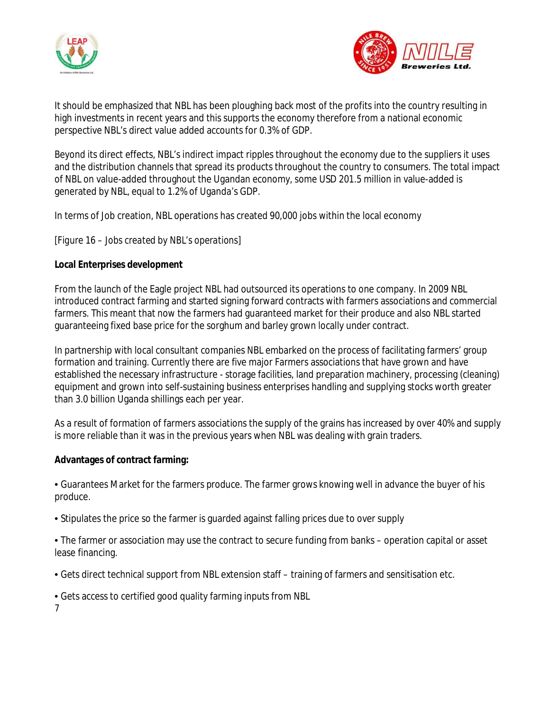



It should be emphasized that NBL has been ploughing back most of the profits into the country resulting in high investments in recent years and this supports the economy therefore from a national economic perspective NBL's direct value added accounts for 0.3% of GDP.

Beyond its direct effects, NBL's indirect impact ripples throughout the economy due to the suppliers it uses and the distribution channels that spread its products throughout the country to consumers. The total impact of NBL on value-added throughout the Ugandan economy, some USD 201.5 million in value-added is generated by NBL, equal to 1.2% of Uganda's GDP.

In terms of Job creation, NBL operations has created 90,000 jobs within the local economy

*[Figure 16 – Jobs created by NBL's operations]* 

**Local Enterprises development** 

From the launch of the Eagle project NBL had outsourced its operations to one company. In 2009 NBL introduced contract farming and started signing forward contracts with farmers associations and commercial farmers. This meant that now the farmers had guaranteed market for their produce and also NBL started guaranteeing fixed base price for the sorghum and barley grown locally under contract.

In partnership with local consultant companies NBL embarked on the process of facilitating farmers' group formation and training. Currently there are five major Farmers associations that have grown and have established the necessary infrastructure - storage facilities, land preparation machinery, processing (cleaning) equipment and grown into self-sustaining business enterprises handling and supplying stocks worth greater than 3.0 billion Uganda shillings each per year.

As a result of formation of farmers associations the supply of the grains has increased by over 40% and supply is more reliable than it was in the previous years when NBL was dealing with grain traders.

**Advantages of contract farming:** 

• Guarantees Market for the farmers produce. The farmer grows knowing well in advance the buyer of his produce.

• Stipulates the price so the farmer is guarded against falling prices due to over supply

• The farmer or association may use the contract to secure funding from banks – operation capital or asset lease financing.

• Gets direct technical support from NBL extension staff – training of farmers and sensitisation etc.

• Gets access to certified good quality farming inputs from NBL

7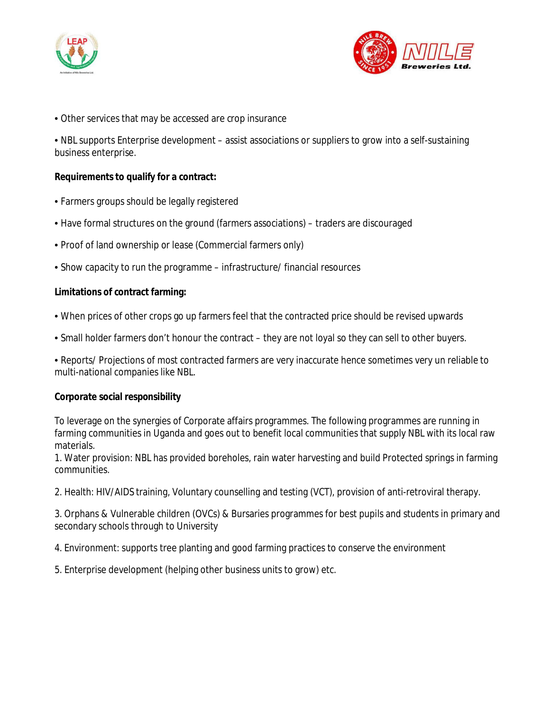



• Other services that may be accessed are crop insurance

• NBL supports Enterprise development – assist associations or suppliers to grow into a self-sustaining business enterprise.

**Requirements to qualify for a contract:** 

- Farmers groups should be legally registered
- Have formal structures on the ground (farmers associations) traders are discouraged
- Proof of land ownership or lease (Commercial farmers only)
- Show capacity to run the programme infrastructure/ financial resources

**Limitations of contract farming:** 

- When prices of other crops go up farmers feel that the contracted price should be revised upwards
- Small holder farmers don't honour the contract they are not loyal so they can sell to other buyers.

• Reports/ Projections of most contracted farmers are very inaccurate hence sometimes very un reliable to multi-national companies like NBL.

**Corporate social responsibility** 

To leverage on the synergies of Corporate affairs programmes. The following programmes are running in farming communities in Uganda and goes out to benefit local communities that supply NBL with its local raw materials.

1. Water provision: NBL has provided boreholes, rain water harvesting and build Protected springs in farming communities.

2. Health: HIV/AIDS training, Voluntary counselling and testing (VCT), provision of anti-retroviral therapy.

3. Orphans & Vulnerable children (OVCs) & Bursaries programmes for best pupils and students in primary and secondary schools through to University

4. Environment: supports tree planting and good farming practices to conserve the environment

5. Enterprise development (helping other business units to grow) etc.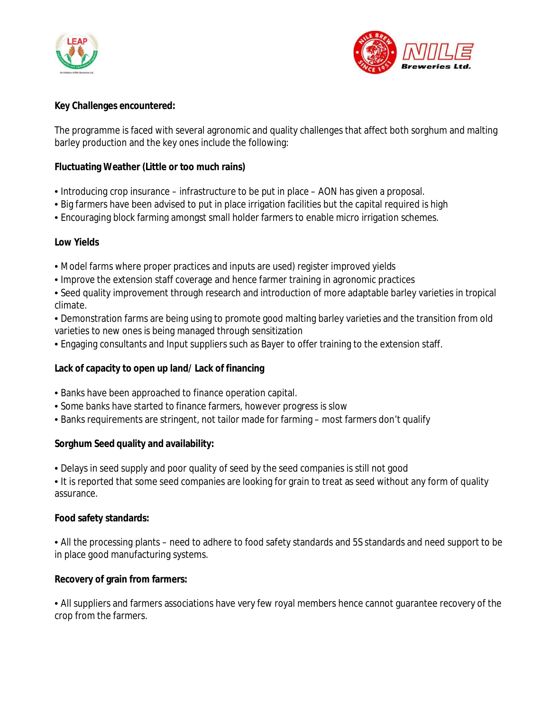



**Key Challenges encountered:** 

The programme is faced with several agronomic and quality challenges that affect both sorghum and malting barley production and the key ones include the following:

**Fluctuating Weather (Little or too much rains)** 

- Introducing crop insurance infrastructure to be put in place AON has given a proposal.
- Big farmers have been advised to put in place irrigation facilities but the capital required is high
- Encouraging block farming amongst small holder farmers to enable micro irrigation schemes.

**Low Yields** 

- Model farms where proper practices and inputs are used) register improved yields
- Improve the extension staff coverage and hence farmer training in agronomic practices
- Seed quality improvement through research and introduction of more adaptable barley varieties in tropical climate.
- Demonstration farms are being using to promote good malting barley varieties and the transition from old varieties to new ones is being managed through sensitization
- Engaging consultants and Input suppliers such as Bayer to offer training to the extension staff.

**Lack of capacity to open up land/ Lack of financing** 

- Banks have been approached to finance operation capital.
- Some banks have started to finance farmers, however progress is slow
- Banks requirements are stringent, not tailor made for farming most farmers don't qualify

**Sorghum Seed quality and availability:** 

- Delays in seed supply and poor quality of seed by the seed companies is still not good
- It is reported that some seed companies are looking for grain to treat as seed without any form of quality assurance.

**Food safety standards:** 

• All the processing plants – need to adhere to food safety standards and 5S standards and need support to be in place good manufacturing systems.

**Recovery of grain from farmers:** 

• All suppliers and farmers associations have very few royal members hence cannot guarantee recovery of the crop from the farmers.